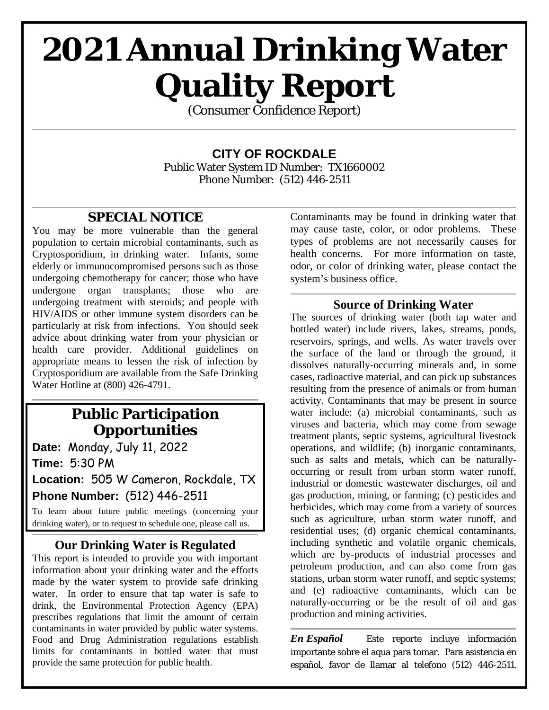# **2021 Annual Drinking Water Quality Report**

(Consumer Confidence Report)

#### **CITY OF ROCKDALE**

Public Water System ID Number: TX1660002 Phone Number: (512) 446-2511

#### **SPECIAL NOTICE**

You may be more vulnerable than the general population to certain microbial contaminants, such as Cryptosporidium, in drinking water. Infants, some elderly or immunocompromised persons such as those undergoing chemotherapy for cancer; those who have undergone organ transplants; those who are undergoing treatment with steroids; and people with HIV/AIDS or other immune system disorders can be particularly at risk from infections. You should seek advice about drinking water from your physician or health care provider. Additional guidelines on appropriate means to lessen the risk of infection by Cryptosporidium are available from the Safe Drinking Water Hotline at (800) 426-4791.

## **Public Participation Opportunities**

**Date:** Monday, July 11, 2022

**Time:** 5:30 PM

**Location:** 505 W Cameron, Rockdale, TX **Phone Number:** (512) 446-2511

To learn about future public meetings (concerning your drinking water), or to request to schedule one, please call us.

#### **Our Drinking Water is Regulated**

This report is intended to provide you with important information about your drinking water and the efforts made by the water system to provide safe drinking water. In order to ensure that tap water is safe to drink, the Environmental Protection Agency (EPA) prescribes regulations that limit the amount of certain contaminants in water provided by public water systems. Food and Drug Administration regulations establish limits for contaminants in bottled water that must provide the same protection for public health.

Contaminants may be found in drinking water that may cause taste, color, or odor problems. These types of problems are not necessarily causes for health concerns. For more information on taste, odor, or color of drinking water, please contact the system's business office.

#### **Source of Drinking Water**

The sources of drinking water (both tap water and bottled water) include rivers, lakes, streams, ponds, reservoirs, springs, and wells. As water travels over the surface of the land or through the ground, it dissolves naturally-occurring minerals and, in some cases, radioactive material, and can pick up substances resulting from the presence of animals or from human activity. Contaminants that may be present in source water include: (a) microbial contaminants, such as viruses and bacteria, which may come from sewage treatment plants, septic systems, agricultural livestock operations, and wildlife; (b) inorganic contaminants, such as salts and metals, which can be naturallyoccurring or result from urban storm water runoff, industrial or domestic wastewater discharges, oil and gas production, mining, or farming; (c) pesticides and herbicides, which may come from a variety of sources such as agriculture, urban storm water runoff, and residential uses; (d) organic chemical contaminants, including synthetic and volatile organic chemicals, which are by-products of industrial processes and petroleum production, and can also come from gas stations, urban storm water runoff, and septic systems; and (e) radioactive contaminants, which can be naturally-occurring or be the result of oil and gas production and mining activities.

*En Español* Este reporte incluye información importante sobre el aqua para tomar. Para asistencia en español, favor de llamar al telefono (512) 446-2511.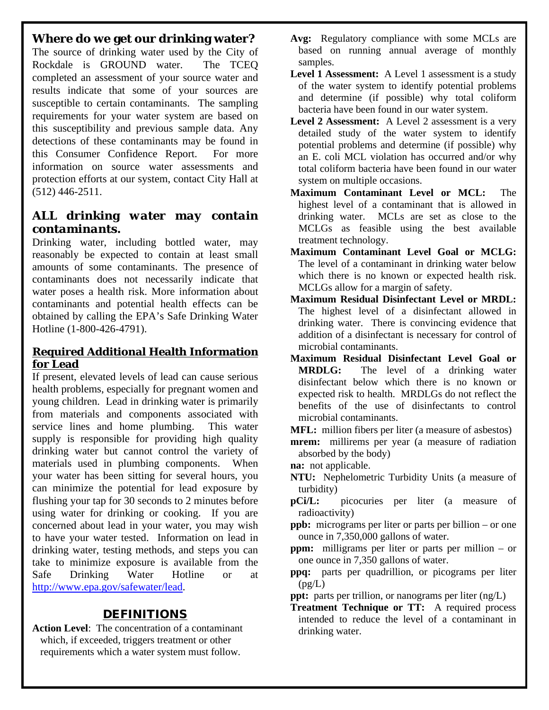#### **Where do we get our drinking water?**

The source of drinking water used by the City of Rockdale is GROUND water. The TCEQ completed an assessment of your source water and results indicate that some of your sources are susceptible to certain contaminants. The sampling requirements for your water system are based on this susceptibility and previous sample data. Any detections of these contaminants may be found in this Consumer Confidence Report. For more information on source water assessments and protection efforts at our system, contact City Hall at (512) 446-2511.

#### *ALL drinking water may contain contaminants.*

Drinking water, including bottled water, may reasonably be expected to contain at least small amounts of some contaminants. The presence of contaminants does not necessarily indicate that water poses a health risk. More information about contaminants and potential health effects can be obtained by calling the EPA's Safe Drinking Water Hotline (1-800-426-4791).

#### **Required Additional Health Information for Lead**

If present, elevated levels of lead can cause serious health problems, especially for pregnant women and young children. Lead in drinking water is primarily from materials and components associated with service lines and home plumbing. This water supply is responsible for providing high quality drinking water but cannot control the variety of materials used in plumbing components. When your water has been sitting for several hours, you can minimize the potential for lead exposure by flushing your tap for 30 seconds to 2 minutes before using water for drinking or cooking. If you are concerned about lead in your water, you may wish to have your water tested. Information on lead in drinking water, testing methods, and steps you can take to minimize exposure is available from the Safe Drinking Water Hotline or at [http://www.epa.gov/safewater/lead.](http://www.epa.gov/safewater/lead)

#### **DEFINITIONS**

**Action Level**: The concentration of a contaminant which, if exceeded, triggers treatment or other requirements which a water system must follow.

- **Avg:** Regulatory compliance with some MCLs are based on running annual average of monthly samples.
- Level 1 Assessment: A Level 1 assessment is a study of the water system to identify potential problems and determine (if possible) why total coliform bacteria have been found in our water system.
- **Level 2 Assessment:** A Level 2 assessment is a very detailed study of the water system to identify potential problems and determine (if possible) why an E. coli MCL violation has occurred and/or why total coliform bacteria have been found in our water system on multiple occasions.
- **Maximum Contaminant Level or MCL:** The highest level of a contaminant that is allowed in drinking water. MCLs are set as close to the MCLGs as feasible using the best available treatment technology.
- **Maximum Contaminant Level Goal or MCLG:**  The level of a contaminant in drinking water below which there is no known or expected health risk. MCLGs allow for a margin of safety.
- **Maximum Residual Disinfectant Level or MRDL:**  The highest level of a disinfectant allowed in drinking water. There is convincing evidence that addition of a disinfectant is necessary for control of microbial contaminants.
- **Maximum Residual Disinfectant Level Goal or MRDLG:** The level of a drinking water disinfectant below which there is no known or expected risk to health. MRDLGs do not reflect the benefits of the use of disinfectants to control microbial contaminants.

**MFL:** million fibers per liter (a measure of asbestos)

- **mrem:** millirems per year (a measure of radiation absorbed by the body)
- **na:** not applicable.
- **NTU:** Nephelometric Turbidity Units (a measure of turbidity)
- **pCi/L:** picocuries per liter (a measure of radioactivity)
- **ppb:** micrograms per liter or parts per billion or one ounce in 7,350,000 gallons of water.
- **ppm:** milligrams per liter or parts per million or one ounce in 7,350 gallons of water.
- **ppq:** parts per quadrillion, or picograms per liter  $(pg/L)$
- **ppt:** parts per trillion, or nanograms per liter (ng/L)
- **Treatment Technique or TT:** A required process intended to reduce the level of a contaminant in drinking water.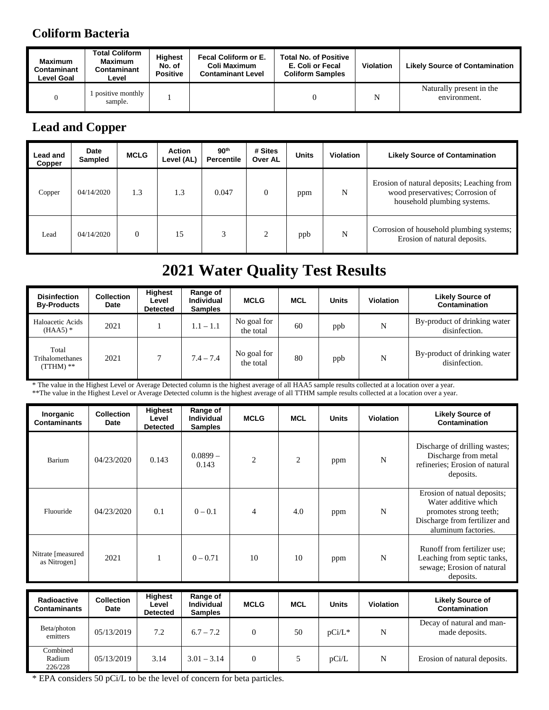### **Coliform Bacteria**

| <b>Maximum</b><br>Contaminant<br>Level Goal | <b>Total Coliform</b><br><b>Maximum</b><br>Contaminant<br>Level | <b>Highest</b><br>No. of<br><b>Positive</b> | <b>Fecal Coliform or E.</b><br>Coli Maximum<br><b>Contaminant Level</b> | <b>Total No. of Positive</b><br>E. Coli or Fecal<br><b>Coliform Samples</b> | <b>Violation</b> | <b>Likely Source of Contamination</b>    |
|---------------------------------------------|-----------------------------------------------------------------|---------------------------------------------|-------------------------------------------------------------------------|-----------------------------------------------------------------------------|------------------|------------------------------------------|
| 0                                           | positive monthly<br>sample.                                     |                                             |                                                                         |                                                                             |                  | Naturally present in the<br>environment. |

#### **Lead and Copper**

| Lead and<br>Copper | Date<br><b>Sampled</b> | <b>MCLG</b>  | Action<br>Level (AL) | 90 <sup>th</sup><br>Percentile | # Sites<br>Over AL | <b>Units</b> | <b>Violation</b> | <b>Likely Source of Contamination</b>                                                                         |
|--------------------|------------------------|--------------|----------------------|--------------------------------|--------------------|--------------|------------------|---------------------------------------------------------------------------------------------------------------|
| Copper             | 04/14/2020             | 1.3          | 1.3                  | 0.047                          | $\theta$           | ppm          | N                | Erosion of natural deposits; Leaching from<br>wood preservatives; Corrosion of<br>household plumbing systems. |
| Lead               | 04/14/2020             | $\mathbf{0}$ | 15                   | 3                              | 2                  | ppb          | N                | Corrosion of household plumbing systems;<br>Erosion of natural deposits.                                      |

# **2021 Water Quality Test Results**

| <b>Disinfection</b><br><b>By-Products</b> | Collection<br>Date | <b>Highest</b><br>Level<br><b>Detected</b> | Range of<br><b>Individual</b><br><b>Samples</b> | <b>MCLG</b>              | MCL | <b>Units</b> | <b>Violation</b> | <b>Likely Source of</b><br>Contamination      |
|-------------------------------------------|--------------------|--------------------------------------------|-------------------------------------------------|--------------------------|-----|--------------|------------------|-----------------------------------------------|
| Haloacetic Acids<br>$(HAA5)$ *            | 2021               |                                            | $1.1 - 1.1$                                     | No goal for<br>the total | 60  | ppb          | N                | By-product of drinking water<br>disinfection. |
| Total<br>Trihalomethanes<br>$(TTHM)$ **   | 2021               |                                            | $7.4 - 7.4$                                     | No goal for<br>the total | 80  | ppb          | N                | By-product of drinking water<br>disinfection. |

\* The value in the Highest Level or Average Detected column is the highest average of all HAA5 sample results collected at a location over a year. \*\*The value in the Highest Level or Average Detected column is the highest average of all TTHM sample results collected at a location over a year.

| Inorganic<br><b>Contaminants</b>   | <b>Collection</b><br>Date | Highest<br>Level<br><b>Detected</b> | Range of<br>Individual<br><b>Samples</b> | <b>MCLG</b>    | <b>MCL</b>     | <b>Units</b> | <b>Violation</b> | <b>Likely Source of</b><br><b>Contamination</b>                                                                                       |
|------------------------------------|---------------------------|-------------------------------------|------------------------------------------|----------------|----------------|--------------|------------------|---------------------------------------------------------------------------------------------------------------------------------------|
| Barium                             | 04/23/2020                | 0.143                               | $0.0899 -$<br>0.143                      | 2              | $\overline{2}$ | ppm          | N                | Discharge of drilling wastes;<br>Discharge from metal<br>refineries; Erosion of natural<br>deposits.                                  |
| Fluouride                          | 04/23/2020                | 0.1                                 | $0 - 0.1$                                | $\overline{4}$ | 4.0            | ppm          | N                | Erosion of natual deposits;<br>Water additive which<br>promotes strong teeth;<br>Discharge from fertilizer and<br>aluminum factories. |
| Nitrate [measured]<br>as Nitrogen] | 2021                      |                                     | $0 - 0.71$                               | 10             | 10             | ppm          | N                | Runoff from fertilizer use;<br>Leaching from septic tanks,<br>sewage; Erosion of natural<br>deposits.                                 |

| Radioactive<br><b>Contaminants</b> | <b>Collection</b><br><b>Date</b> | <b>Highest</b><br>Level<br><b>Detected</b> | Range of<br>Individual<br><b>Samples</b> | <b>MCLG</b>    | <b>MCL</b> | <b>Units</b> | <b>Violation</b> | <b>Likely Source of</b><br>Contamination    |
|------------------------------------|----------------------------------|--------------------------------------------|------------------------------------------|----------------|------------|--------------|------------------|---------------------------------------------|
| Beta/photon<br>emitters            | 05/13/2019                       | 7.2                                        | $6.7 - 7.2$                              | $\overline{0}$ | 50         | $pCi/L^*$    | N                | Decay of natural and man-<br>made deposits. |
| Combined<br>Radium<br>226/228      | 05/13/2019                       | 3.14                                       | $3.01 - 3.14$                            | 0              |            | pCi/L        | N                | Erosion of natural deposits.                |

\* EPA considers 50 pCi/L to be the level of concern for beta particles.